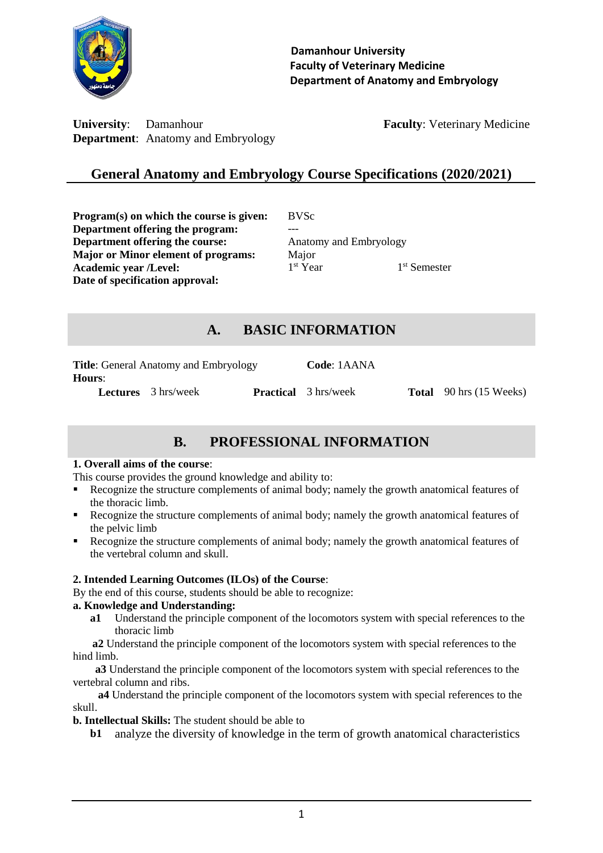

**University:** Damanhour **Faculty: Veterinary Medicine Department**: Anatomy and Embryology

# **General Anatomy and Embryology Course Specifications (2020/2021)**

**Program(s) on which the course is given:** BVSc **Department offering the program:** The Compartment offering the course: Anatomy and Embryology **Department offering the course: Major or Minor element of programs:** Major **Academic year /Level:** 1 **Date of specification approval:**

 $1<sup>st</sup>$  Year 1<sup>st</sup> Semester

# **A. BASIC INFORMATION**

| <b>Title:</b> General Anatomy and Embryology |                            | Code: 1AANA |                             |                                |
|----------------------------------------------|----------------------------|-------------|-----------------------------|--------------------------------|
| <b>Hours:</b>                                |                            |             |                             |                                |
|                                              | <b>Lectures</b> 3 hrs/week |             | <b>Practical</b> 3 hrs/week | <b>Total</b> 90 hrs (15 Weeks) |

# **B. PROFESSIONAL INFORMATION**

### **1. Overall aims of the course**:

This course provides the ground knowledge and ability to:

- Recognize the structure complements of animal body; namely the growth anatomical features of the thoracic limb.
- Recognize the structure complements of animal body; namely the growth anatomical features of the pelvic limb
- Recognize the structure complements of animal body; namely the growth anatomical features of the vertebral column and skull.

### **2. Intended Learning Outcomes (ILOs) of the Course**:

By the end of this course, students should be able to recognize:

### **a. Knowledge and Understanding:**

**a1** Understand the principle component of the locomotors system with special references to the thoracic limb

 **a2** Understand the principle component of the locomotors system with special references to the hind limb.

 **a3** Understand the principle component of the locomotors system with special references to the vertebral column and ribs.

 **a4** Understand the principle component of the locomotors system with special references to the skull.

**b. Intellectual Skills:** The student should be able to

**b1** analyze the diversity of knowledge in the term of growth anatomical characteristics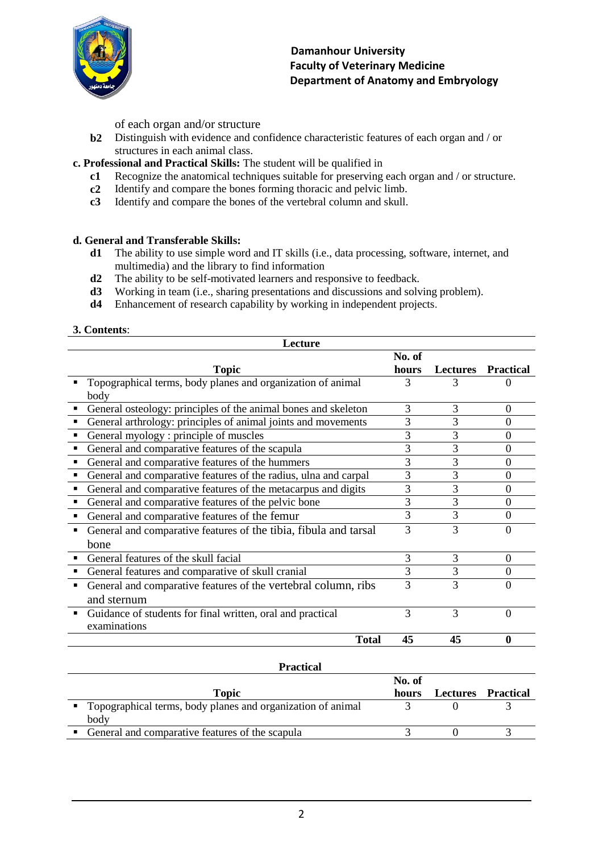

of each organ and/or structure

**b2** Distinguish with evidence and confidence characteristic features of each organ and / or structures in each animal class.

### **c. Professional and Practical Skills:** The student will be qualified in

- **c1** Recognize the anatomical techniques suitable for preserving each organ and / or structure.
- **c2** Identify and compare the bones forming thoracic and pelvic limb.
- **c3** Identify and compare the bones of the vertebral column and skull.

### **d. General and Transferable Skills:**

- **d1** The ability to use simple word and IT skills (i.e., data processing, software, internet, and multimedia) and the library to find information
- **d2** The ability to be self-motivated learners and responsive to feedback.
- **d3** Working in team (i.e., sharing presentations and discussions and solving problem).
- **d4** Enhancement of research capability by working in independent projects.

**3. Contents**:

|                | Lecture                                                          |                |                  |                  |
|----------------|------------------------------------------------------------------|----------------|------------------|------------------|
|                |                                                                  | No. of         |                  |                  |
|                | <b>Topic</b>                                                     | hours          | <b>Lectures</b>  | <b>Practical</b> |
|                | Topographical terms, body planes and organization of animal      | 3              | 3                | $\Omega$         |
|                | body                                                             |                |                  |                  |
| ٠              | General osteology: principles of the animal bones and skeleton   | 3              | 3                | $\theta$         |
| ٠              | General arthrology: principles of animal joints and movements    | 3              | 3                | $\theta$         |
| ٠              | General myology : principle of muscles                           | 3              | 3                | $\theta$         |
| $\blacksquare$ | General and comparative features of the scapula                  | 3              | 3                | $\theta$         |
| ٠              | General and comparative features of the hummers                  | $\overline{3}$ | 3                | $\overline{0}$   |
| п              | General and comparative features of the radius, ulna and carpal  | 3              | 3                | $\theta$         |
| $\blacksquare$ | General and comparative features of the metacarpus and digits    | $\overline{3}$ | 3                | $\mathbf{0}$     |
| ٠              | General and comparative features of the pelvic bone              | $\overline{3}$ | 3                | $\theta$         |
| ٠              | General and comparative features of the femur                    | 3              | 3                | $\mathbf{0}$     |
| $\blacksquare$ | General and comparative features of the tibia, fibula and tarsal | 3              | 3                | $\overline{0}$   |
|                | bone                                                             |                |                  |                  |
| $\blacksquare$ | General features of the skull facial                             | 3              | 3                | $\overline{0}$   |
| ٠              | General features and comparative of skull cranial                | 3              | 3                | $\boldsymbol{0}$ |
| ٠              | General and comparative features of the vertebral column, ribs   | $\overline{3}$ | 3                | $\theta$         |
|                | and sternum                                                      |                |                  |                  |
| $\blacksquare$ | Guidance of students for final written, oral and practical       | 3              | 3                | $\theta$         |
|                | examinations                                                     |                |                  |                  |
|                | <b>Total</b>                                                     | 45             | 45               | $\boldsymbol{0}$ |
|                |                                                                  |                |                  |                  |
|                | <b>Practical</b>                                                 |                |                  |                  |
|                |                                                                  | No. of         |                  |                  |
|                | <b>Topic</b>                                                     | hours          | <b>Lectures</b>  | <b>Practical</b> |
|                | Topographical terms, body planes and organization of animal      | 3              | $\boldsymbol{0}$ | 3                |

| - Topographical terms, body planes and organization of animal<br>body |  |  |
|-----------------------------------------------------------------------|--|--|
| • General and comparative features of the scapula                     |  |  |
|                                                                       |  |  |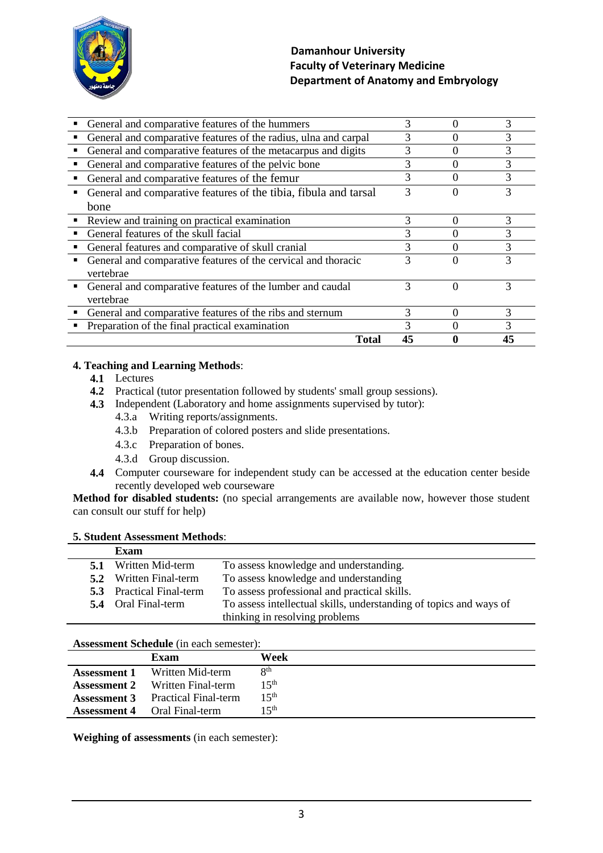

|           | General and comparative features of the hummers                  | 3             | 0        | 3  |
|-----------|------------------------------------------------------------------|---------------|----------|----|
|           | General and comparative features of the radius, ulna and carpal  | 3             | 0        | 3  |
|           | General and comparative features of the metacarpus and digits    | 3             | 0        | 3  |
|           | General and comparative features of the pelvic bone              | 3             | 0        | 3  |
|           | General and comparative features of the femur                    | 3             | 0        | 3  |
|           | General and comparative features of the tibia, fibula and tarsal | 3             | $\Omega$ | 3  |
| bone      |                                                                  |               |          |    |
|           | Review and training on practical examination                     | 3             | 0        | 3  |
|           | General features of the skull facial                             | 3             | 0        |    |
|           | General features and comparative of skull cranial                | 3             | 0        | 3  |
|           | General and comparative features of the cervical and thoracic    | 3             | 0        | 3  |
| vertebrae |                                                                  |               |          |    |
|           | General and comparative features of the lumber and caudal        | $\mathcal{R}$ | 0        | 3  |
| vertebrae |                                                                  |               |          |    |
|           | General and comparative features of the ribs and sternum         | 3             | 0        | 3  |
|           | Preparation of the final practical examination                   | 3             |          |    |
|           | Total                                                            | 45            | 0        | 45 |

### **4. Teaching and Learning Methods**:

- **4.1** Lectures
- **4.2** Practical (tutor presentation followed by students' small group sessions).
- **4.3** Independent (Laboratory and home assignments supervised by tutor):
	- 4.3.a Writing reports/assignments.
	- 4.3.b Preparation of colored posters and slide presentations.
	- 4.3.c Preparation of bones.
	- 4.3.d Group discussion.
- **4.4** Computer courseware for independent study can be accessed at the education center beside recently developed web courseware

**Method for disabled students:** (no special arrangements are available now, however those student can consult our stuff for help)

### **5. Student Assessment Methods**:

|     | Exam                            |                                                                    |
|-----|---------------------------------|--------------------------------------------------------------------|
| 5.1 | Written Mid-term                | To assess knowledge and understanding.                             |
|     | <b>5.2</b> Written Final-term   | To assess knowledge and understanding                              |
|     | <b>5.3</b> Practical Final-term | To assess professional and practical skills.                       |
|     | <b>5.4</b> Oral Final-term      | To assess intellectual skills, understanding of topics and ways of |
|     |                                 | thinking in resolving problems                                     |

### **Assessment Schedule** (in each semester):

|                     | Exam                 | Week             |
|---------------------|----------------------|------------------|
| <b>Assessment 1</b> | Written Mid-term     | $\mathbf{Q}$ th  |
| <b>Assessment 2</b> | Written Final-term   | 15 <sup>th</sup> |
| <b>Assessment 3</b> | Practical Final-term | 15th             |
| <b>Assessment 4</b> | Oral Final-term      | 1 5th            |
|                     |                      |                  |

**Weighing of assessments** (in each semester):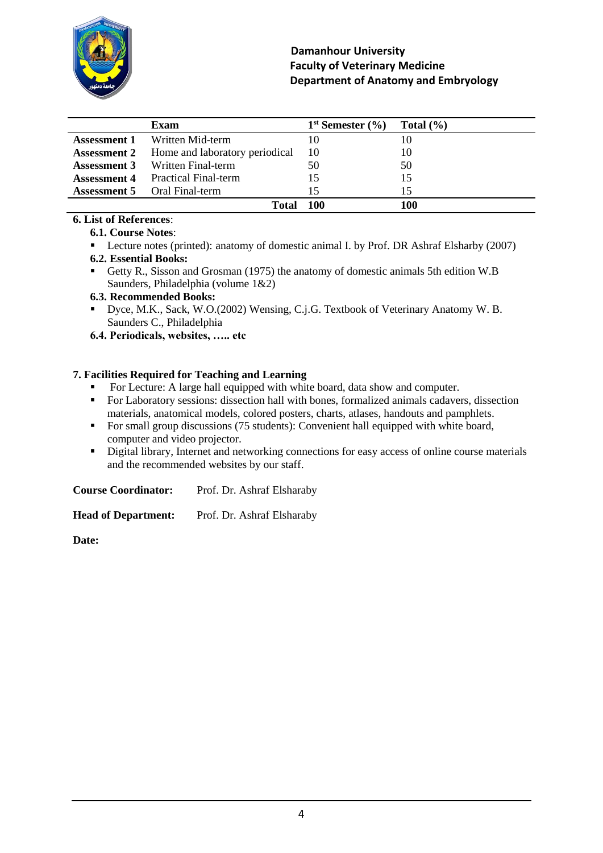

|                     | Exam                                               | $1st$ Semester $(\frac{6}{6})$ | Total $(\% )$ |
|---------------------|----------------------------------------------------|--------------------------------|---------------|
|                     | <b>Assessment 1</b> Written Mid-term               | 10                             | Ю             |
|                     | <b>Assessment 2</b> Home and laboratory periodical | 10                             | 10            |
|                     | <b>Assessment 3</b> Written Final-term             | 50                             | 50            |
| <b>Assessment 4</b> | <b>Practical Final-term</b>                        |                                | 15            |
|                     | <b>Assessment 5</b> Oral Final-term                | 15                             | 15            |
|                     | Total                                              | 100                            | 100           |

### **6. List of References**:

- **6.1. Course Notes**:
- **Lecture notes (printed): anatomy of domestic animal I. by Prof. DR Ashraf Elsharby (2007) 6.2. Essential Books:**
- Getty R., Sisson and Grosman (1975) the anatomy of domestic animals 5th edition W.B Saunders, Philadelphia (volume 1&2)

### **6.3. Recommended Books:**

Dyce, M.K., Sack, W.O.(2002) Wensing, C.j.G. Textbook of Veterinary Anatomy W. B. Saunders C., Philadelphia

### **6.4. Periodicals, websites, ….. etc**

### **7. Facilities Required for Teaching and Learning**

- For Lecture: A large hall equipped with white board, data show and computer.
- For Laboratory sessions: dissection hall with bones, formalized animals cadavers, dissection materials, anatomical models, colored posters, charts, atlases, handouts and pamphlets.
- For small group discussions (75 students): Convenient hall equipped with white board, computer and video projector.
- Digital library, Internet and networking connections for easy access of online course materials and the recommended websites by our staff.

**Course Coordinator:** Prof. Dr. Ashraf Elsharaby

Head of Department: Prof. Dr. Ashraf Elsharaby

**Date:**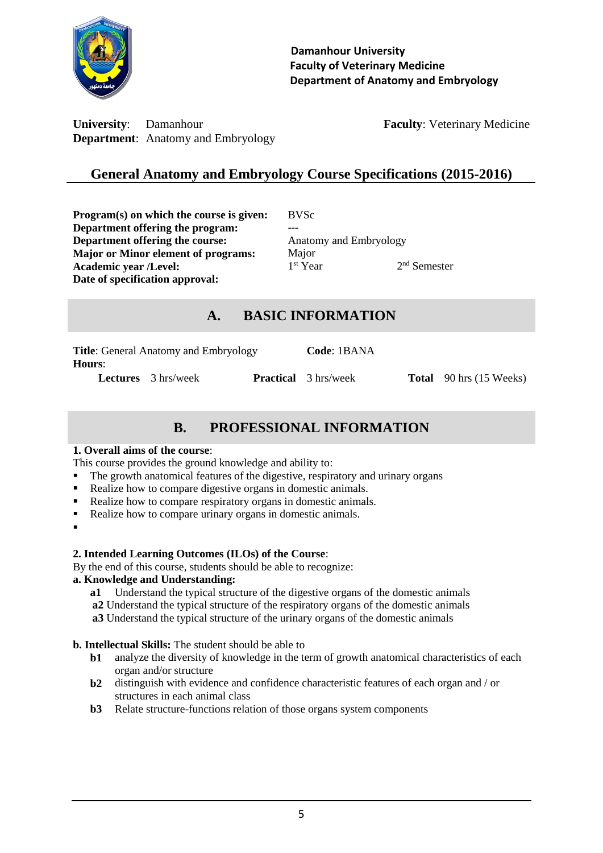

**University:** Damanhour **Faculty: Veterinary Medicine Department**: Anatomy and Embryology

# **General Anatomy and Embryology Course Specifications (2015-2016)**

**Program(s) on which the course is given:** BVSc **Department offering the program: Department offering the course:** Anatomy and Embryology **Major or Minor element of programs:** Major **Academic year /Level:** 1 **Date of specification approval:**

1<sup>st</sup> Year 2<sup>nd</sup> Semester

# **A. BASIC INFORMATION**

| <b>Title:</b> General Anatomy and Embryology |                            |  | Code: 1BANA                 |                                |
|----------------------------------------------|----------------------------|--|-----------------------------|--------------------------------|
| Hours:                                       |                            |  |                             |                                |
|                                              | <b>Lectures</b> 3 hrs/week |  | <b>Practical</b> 3 hrs/week | <b>Total</b> 90 hrs (15 Weeks) |

# **B. PROFESSIONAL INFORMATION**

### **1. Overall aims of the course**:

This course provides the ground knowledge and ability to:

- The growth anatomical features of the digestive, respiratory and urinary organs
- Realize how to compare digestive organs in domestic animals.
- Realize how to compare respiratory organs in domestic animals.
- Realize how to compare urinary organs in domestic animals.
- .

### **2. Intended Learning Outcomes (ILOs) of the Course**:

By the end of this course, students should be able to recognize:

### **a. Knowledge and Understanding:**

- **a1** Understand the typical structure of the digestive organs of the domestic animals
- **a2** Understand the typical structure of the respiratory organs of the domestic animals
- **a3** Understand the typical structure of the urinary organs of the domestic animals

### **b. Intellectual Skills:** The student should be able to

- **b1** analyze the diversity of knowledge in the term of growth anatomical characteristics of each organ and/or structure
- **b2** distinguish with evidence and confidence characteristic features of each organ and / or structures in each animal class
- **b3** Relate structure-functions relation of those organs system components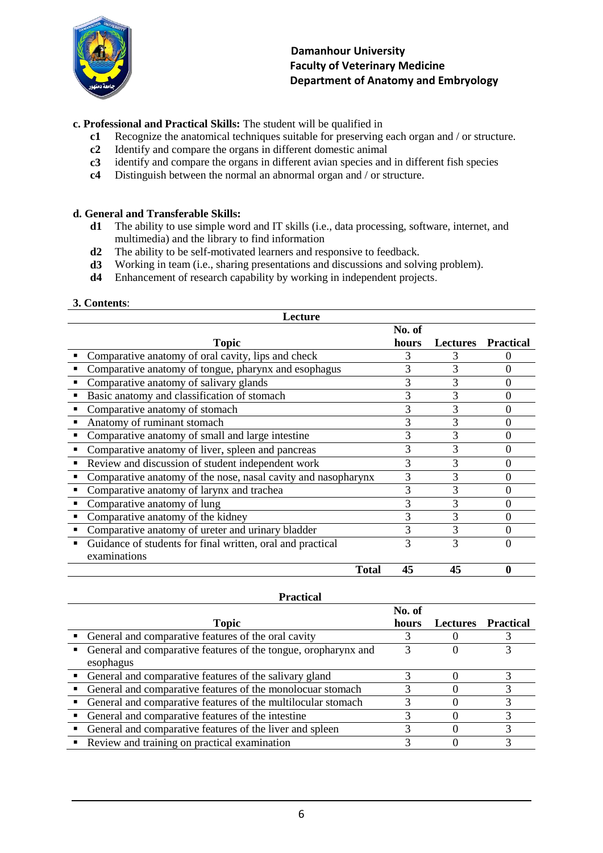

### **c. Professional and Practical Skills:** The student will be qualified in

- **c1** Recognize the anatomical techniques suitable for preserving each organ and / or structure.
	- **c2** Identify and compare the organs in different domestic animal
	- **c3** identify and compare the organs in different avian species and in different fish species
	- **c4** Distinguish between the normal an abnormal organ and / or structure.

# **d. General and Transferable Skills:**

- The ability to use simple word and IT skills (i.e., data processing, software, internet, and multimedia) and the library to find information
- **d2** The ability to be self-motivated learners and responsive to feedback.
- **d3** Working in team (i.e., sharing presentations and discussions and solving problem).
- **d4** Enhancement of research capability by working in independent projects.

### **3. Contents**:

| Lecture                                                       |        |                           |          |
|---------------------------------------------------------------|--------|---------------------------|----------|
|                                                               | No. of |                           |          |
| <b>Topic</b>                                                  | hours  | <b>Lectures Practical</b> |          |
| Comparative anatomy of oral cavity, lips and check            | 3      | 3                         | O        |
| Comparative anatomy of tongue, pharynx and esophagus          |        | 3                         | 0        |
| Comparative anatomy of salivary glands                        | 3      | 3                         | 0        |
| Basic anatomy and classification of stomach                   | 3      |                           | 0        |
| Comparative anatomy of stomach                                | 3      | 3                         | $\theta$ |
| Anatomy of ruminant stomach                                   | 3      | 3                         | $\Omega$ |
| Comparative anatomy of small and large intestine              | 3      | 3                         | 0        |
| Comparative anatomy of liver, spleen and pancreas             | 3      | 3                         | 0        |
| Review and discussion of student independent work             | 3      | 3                         | $\theta$ |
| Comparative anatomy of the nose, nasal cavity and nasopharynx | 3      | 3                         | 0        |
| Comparative anatomy of larynx and trachea                     | 3      | 3                         | $\theta$ |
| Comparative anatomy of lung                                   | 3      | 3                         | 0        |
| Comparative anatomy of the kidney                             | 3      | 3                         | 0        |
| Comparative anatomy of ureter and urinary bladder             | 3      |                           | 0        |
| Guidance of students for final written, oral and practical    | 3      | 3                         |          |
| examinations                                                  |        |                           |          |
| Total                                                         | 45     | 45                        |          |

| Practical                                                        |        |                           |   |
|------------------------------------------------------------------|--------|---------------------------|---|
|                                                                  | No. of |                           |   |
| <b>Topic</b>                                                     | hours  | <b>Lectures</b> Practical |   |
| • General and comparative features of the oral cavity            |        |                           |   |
| • General and comparative features of the tongue, oropharynx and |        |                           |   |
| esophagus                                                        |        |                           |   |
| General and comparative features of the salivary gland           |        |                           |   |
| • General and comparative features of the monolocuar stomach     |        |                           |   |
| General and comparative features of the multilocular stomach     |        |                           |   |
| General and comparative features of the intestine                |        |                           | 3 |
| • General and comparative features of the liver and spleen       |        |                           |   |
| • Review and training on practical examination                   |        |                           |   |
|                                                                  |        |                           |   |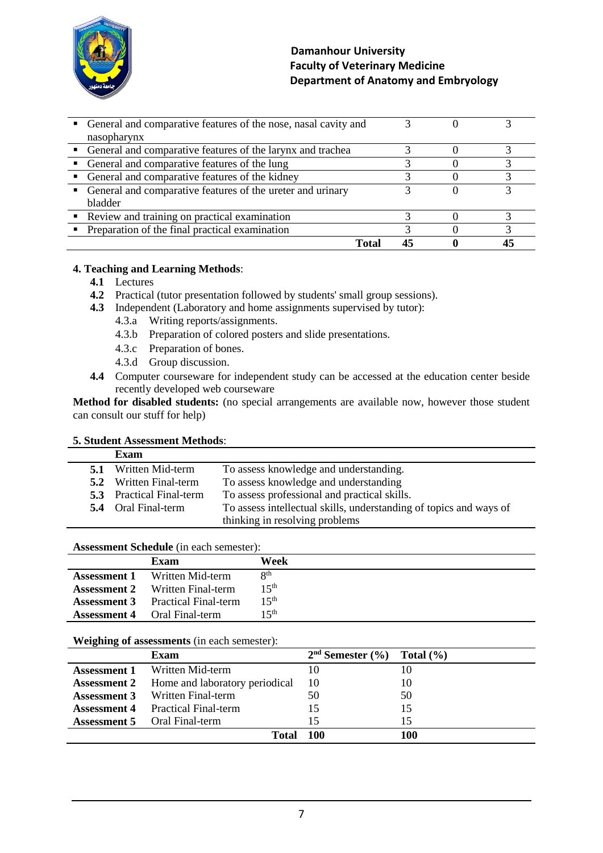

| • General and comparative features of the nose, nasal cavity and |      |  |  |
|------------------------------------------------------------------|------|--|--|
| nasopharynx                                                      |      |  |  |
| • General and comparative features of the larynx and trachea     |      |  |  |
| • General and comparative features of the lung                   |      |  |  |
| • General and comparative features of the kidney                 |      |  |  |
| • General and comparative features of the ureter and urinary     |      |  |  |
| bladder                                                          |      |  |  |
| Review and training on practical examination                     |      |  |  |
| • Preparation of the final practical examination                 |      |  |  |
|                                                                  | Tota |  |  |

### **4. Teaching and Learning Methods**:

- **4.1** Lectures
- **4.2** Practical (tutor presentation followed by students' small group sessions).
- **4.3** Independent (Laboratory and home assignments supervised by tutor):
	- 4.3.a Writing reports/assignments.
	- 4.3.b Preparation of colored posters and slide presentations.
	- 4.3.c Preparation of bones.
	- 4.3.d Group discussion.
- **4.4** Computer courseware for independent study can be accessed at the education center beside recently developed web courseware

**Method for disabled students:** (no special arrangements are available now, however those student can consult our stuff for help)

### **5. Student Assessment Methods**:

÷,

|     | Exam                            |                                                                    |
|-----|---------------------------------|--------------------------------------------------------------------|
|     | <b>5.1</b> Written Mid-term     | To assess knowledge and understanding.                             |
| 5.2 | Written Final-term              | To assess knowledge and understanding                              |
|     | <b>5.3</b> Practical Final-term | To assess professional and practical skills.                       |
|     | <b>5.4</b> Oral Final-term      | To assess intellectual skills, understanding of topics and ways of |
|     |                                 | thinking in resolving problems                                     |

### **Assessment Schedule** (in each semester):

|                     | Exam                        | Week             |
|---------------------|-----------------------------|------------------|
| <b>Assessment 1</b> | Written Mid-term            | $\mathbf{Q}$ th  |
| <b>Assessment 2</b> | Written Final-term          | 15 <sup>th</sup> |
| <b>Assessment 3</b> | <b>Practical Final-term</b> | 15 <sup>th</sup> |
| <b>Assessment 4</b> | Oral Final-term             | 15th             |
|                     |                             |                  |

### **Weighing of assessments** (in each semester):

|                     | <b>Exam</b>                                        | $2nd$ Semester $(\% )$ | Total $(\% )$ |
|---------------------|----------------------------------------------------|------------------------|---------------|
| <b>Assessment 1</b> | Written Mid-term                                   | 10                     | 10            |
|                     | <b>Assessment 2</b> Home and laboratory periodical | 10                     | 10            |
| <b>Assessment 3</b> | Written Final-term                                 | 50                     | 50            |
| <b>Assessment 4</b> | <b>Practical Final-term</b>                        | 15                     | 15            |
|                     | <b>Assessment 5</b> Oral Final-term                | 15                     | 15            |
|                     | <b>Total</b>                                       | 100                    | 100           |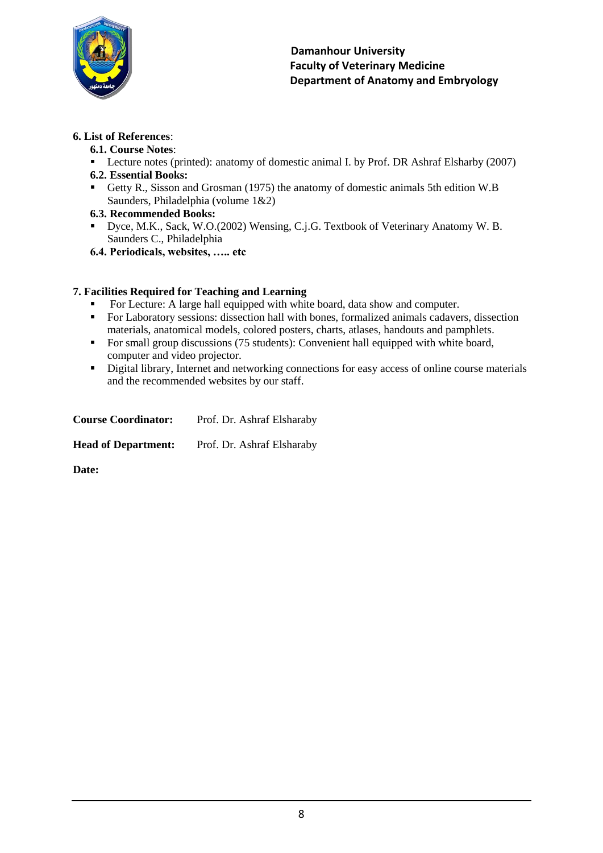

### **6. List of References**:

- **6.1. Course Notes**:
- **Lecture notes (printed): anatomy of domestic animal I. by Prof. DR Ashraf Elsharby (2007)**
- **6.2. Essential Books:**
- Getty R., Sisson and Grosman (1975) the anatomy of domestic animals 5th edition W.B Saunders, Philadelphia (volume 1&2)
- **6.3. Recommended Books:**
- Dyce, M.K., Sack, W.O.(2002) Wensing, C.j.G. Textbook of Veterinary Anatomy W. B. Saunders C., Philadelphia
- **6.4. Periodicals, websites, ….. etc**

### **7. Facilities Required for Teaching and Learning**

- For Lecture: A large hall equipped with white board, data show and computer.
- For Laboratory sessions: dissection hall with bones, formalized animals cadavers, dissection materials, anatomical models, colored posters, charts, atlases, handouts and pamphlets.
- For small group discussions (75 students): Convenient hall equipped with white board, computer and video projector.
- Digital library, Internet and networking connections for easy access of online course materials and the recommended websites by our staff.

| <b>Course Coordinator:</b> | Prof. Dr. Ashraf Elsharaby |
|----------------------------|----------------------------|
| <b>Head of Department:</b> | Prof. Dr. Ashraf Elsharaby |

**Date:**